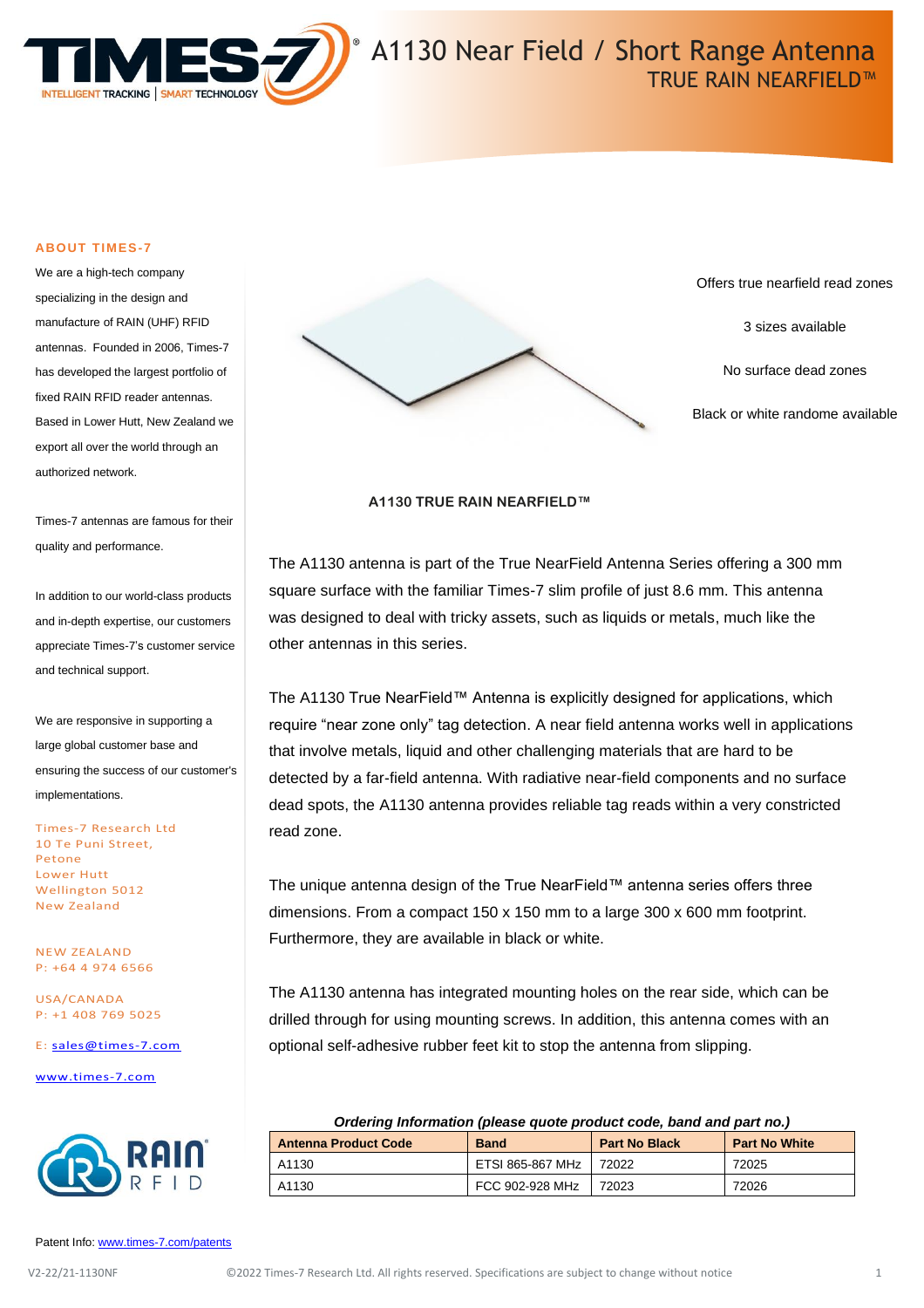

# A1130 Near Field / Short Range Antenna TRUE RAIN NEARFIELD™

#### **ABOUT TIMES-7**

We are a high-tech company specializing in the design and manufacture of RAIN (UHF) RFID antennas. Founded in 2006, Times-7 has developed the largest portfolio of fixed RAIN RFID reader antennas. Based in Lower Hutt, New Zealand we export all over the world through an authorized network.

Times-7 antennas are famous for their quality and performance.

In addition to our world-class products and in-depth expertise, our customers appreciate Times-7's customer service and technical support.

We are responsive in supporting a large global customer base and ensuring the success of our customer's implementations.

Times-7 Research Ltd 10 Te Puni Street, Petone Lower Hutt Wellington 5012 New Zealand

NEW ZEALAND P: +64 4 974 6566

USA/CANADA P: +1 408 769 5025

E: [sales@times-7.com](mailto:sales@times-7.com)

[www.times-7.com](http://www.times-7.com/)



Patent Info[: www.times-7.com/patents](http://www.times-7.com/patents)



Offers true nearfield read zones

3 sizes available

No surface dead zones

Black or white randome available

#### **A1130 TRUE RAIN NEARFIELD™**

The A1130 antenna is part of the True NearField Antenna Series offering a 300 mm square surface with the familiar Times-7 slim profile of just 8.6 mm. This antenna was designed to deal with tricky assets, such as liquids or metals, much like the other antennas in this series.

The A1130 True NearField™ Antenna is explicitly designed for applications, which require "near zone only" tag detection. A near field antenna works well in applications that involve metals, liquid and other challenging materials that are hard to be detected by a far-field antenna. With radiative near-field components and no surface dead spots, the A1130 antenna provides reliable tag reads within a very constricted read zone.

The unique antenna design of the True NearField™ antenna series offers three dimensions. From a compact 150 x 150 mm to a large 300 x 600 mm footprint. Furthermore, they are available in black or white.

The A1130 antenna has integrated mounting holes on the rear side, which can be drilled through for using mounting screws. In addition, this antenna comes with an optional self-adhesive rubber feet kit to stop the antenna from slipping.

#### *Ordering Information (please quote product code, band and part no.)*

| <b>Antenna Product Code</b> | <b>Band</b>      | <b>Part No Black</b> | <b>Part No White</b> |
|-----------------------------|------------------|----------------------|----------------------|
| A1130                       | ETSI 865-867 MHz | 72022                | 72025                |
| A1130                       | FCC 902-928 MHz  | 72023                | 72026                |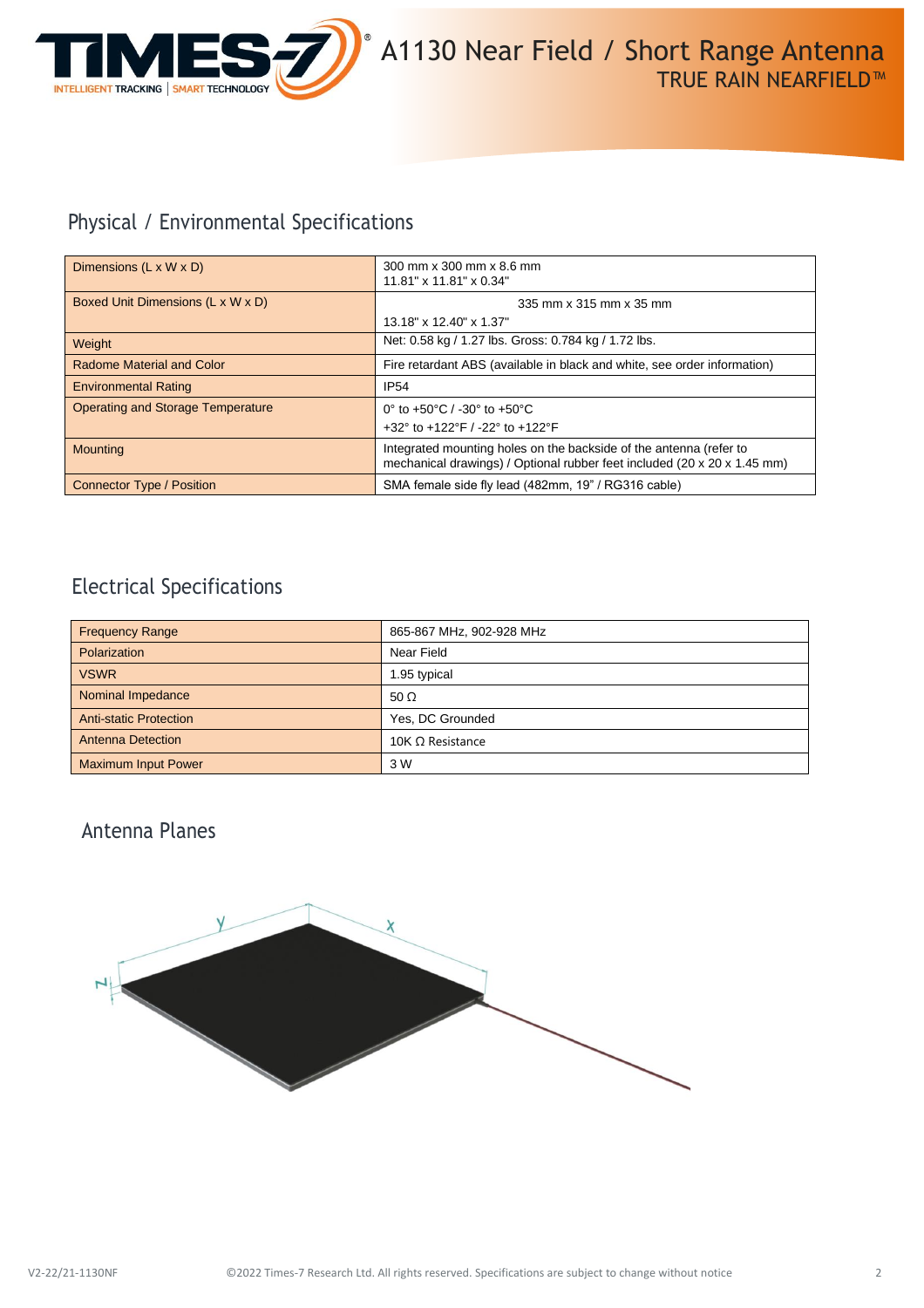

# Physical / Environmental Specifications

| Dimensions $(L \times W \times D)$       | 300 mm x 300 mm x 8.6 mm<br>11.81" x 11.81" x 0.34"                                                                                            |  |
|------------------------------------------|------------------------------------------------------------------------------------------------------------------------------------------------|--|
| Boxed Unit Dimensions (L x W x D)        | 335 mm x 315 mm x 35 mm                                                                                                                        |  |
|                                          | 13.18" x 12.40" x 1.37"                                                                                                                        |  |
| Weight                                   | Net: 0.58 kg / 1.27 lbs. Gross: 0.784 kg / 1.72 lbs.                                                                                           |  |
| Radome Material and Color                | Fire retardant ABS (available in black and white, see order information)                                                                       |  |
| <b>Environmental Rating</b>              | <b>IP54</b>                                                                                                                                    |  |
| <b>Operating and Storage Temperature</b> | 0° to +50°C / -30° to +50°C                                                                                                                    |  |
|                                          | +32° to +122°F / -22° to +122°F                                                                                                                |  |
| <b>Mounting</b>                          | Integrated mounting holes on the backside of the antenna (refer to<br>mechanical drawings) / Optional rubber feet included (20 x 20 x 1.45 mm) |  |
| Connector Type / Position                | SMA female side fly lead (482mm, 19" / RG316 cable)                                                                                            |  |

## Electrical Specifications

| <b>Frequency Range</b>        | 865-867 MHz, 902-928 MHz |
|-------------------------------|--------------------------|
| Polarization                  | Near Field               |
| <b>VSWR</b>                   | 1.95 typical             |
| Nominal Impedance             | 50 $\Omega$              |
| <b>Anti-static Protection</b> | Yes, DC Grounded         |
| <b>Antenna Detection</b>      | 10K $\Omega$ Resistance  |
| <b>Maximum Input Power</b>    | 3 W                      |

## Antenna Planes

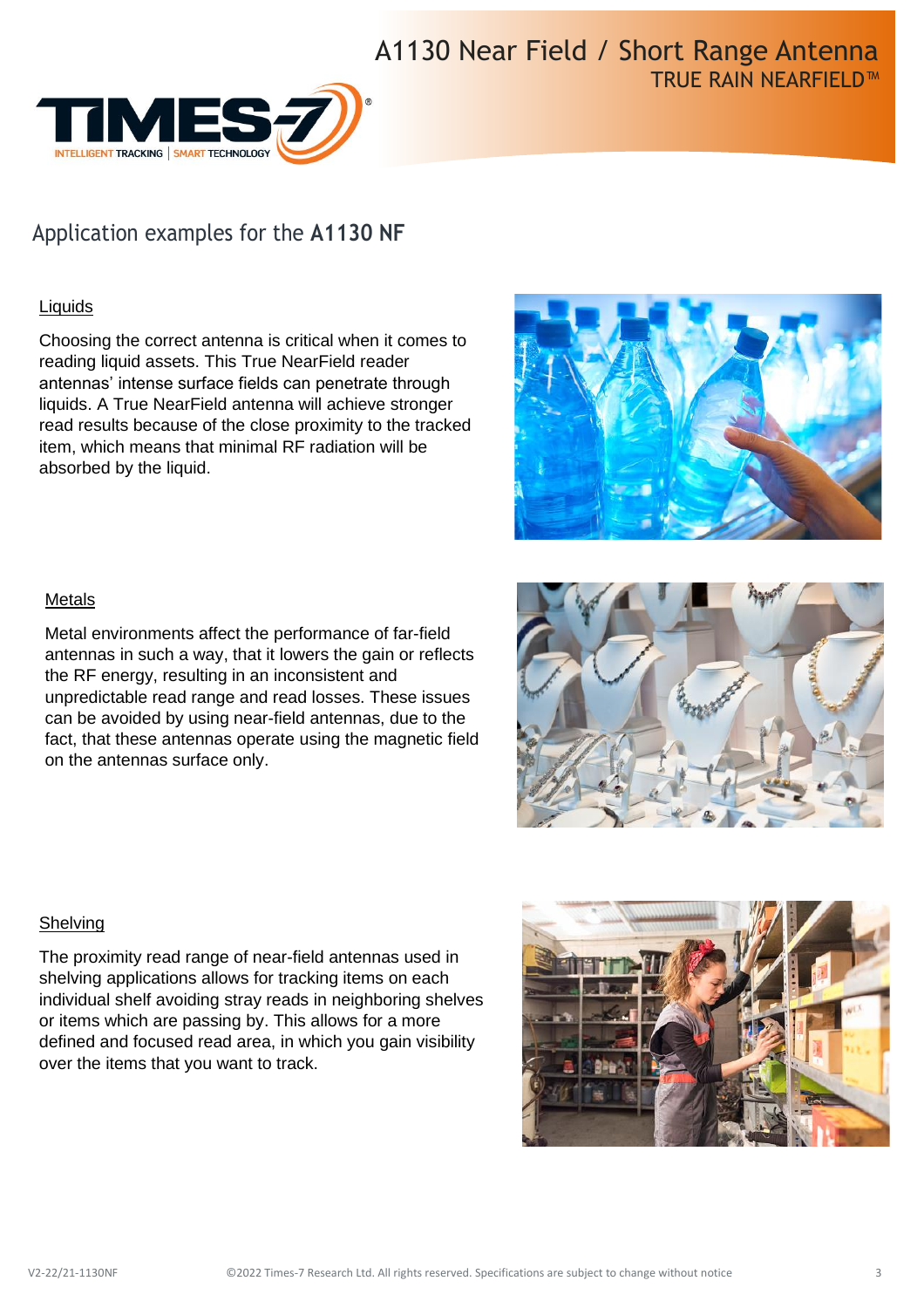

# Application examples for the **A1130 NF**

### **Liquids**

Choosing the correct antenna is critical when it comes to reading liquid assets. This True NearField reader antennas' intense surface fields can penetrate through liquids. A True NearField antenna will achieve stronger read results because of the close proximity to the tracked item, which means that minimal RF radiation will be absorbed by the liquid.



### Metals

Metal environments affect the performance of far-field antennas in such a way, that it lowers the gain or reflects the RF energy, resulting in an inconsistent and unpredictable read range and read losses. These issues can be avoided by using near-field antennas, due to the fact, that these antennas operate using the magnetic field on the antennas surface only.



### **Shelving**

The proximity read range of near-field antennas used in shelving applications allows for tracking items on each individual shelf avoiding stray reads in neighboring shelves or items which are passing by. This allows for a more defined and focused read area, in which you gain visibility over the items that you want to track.

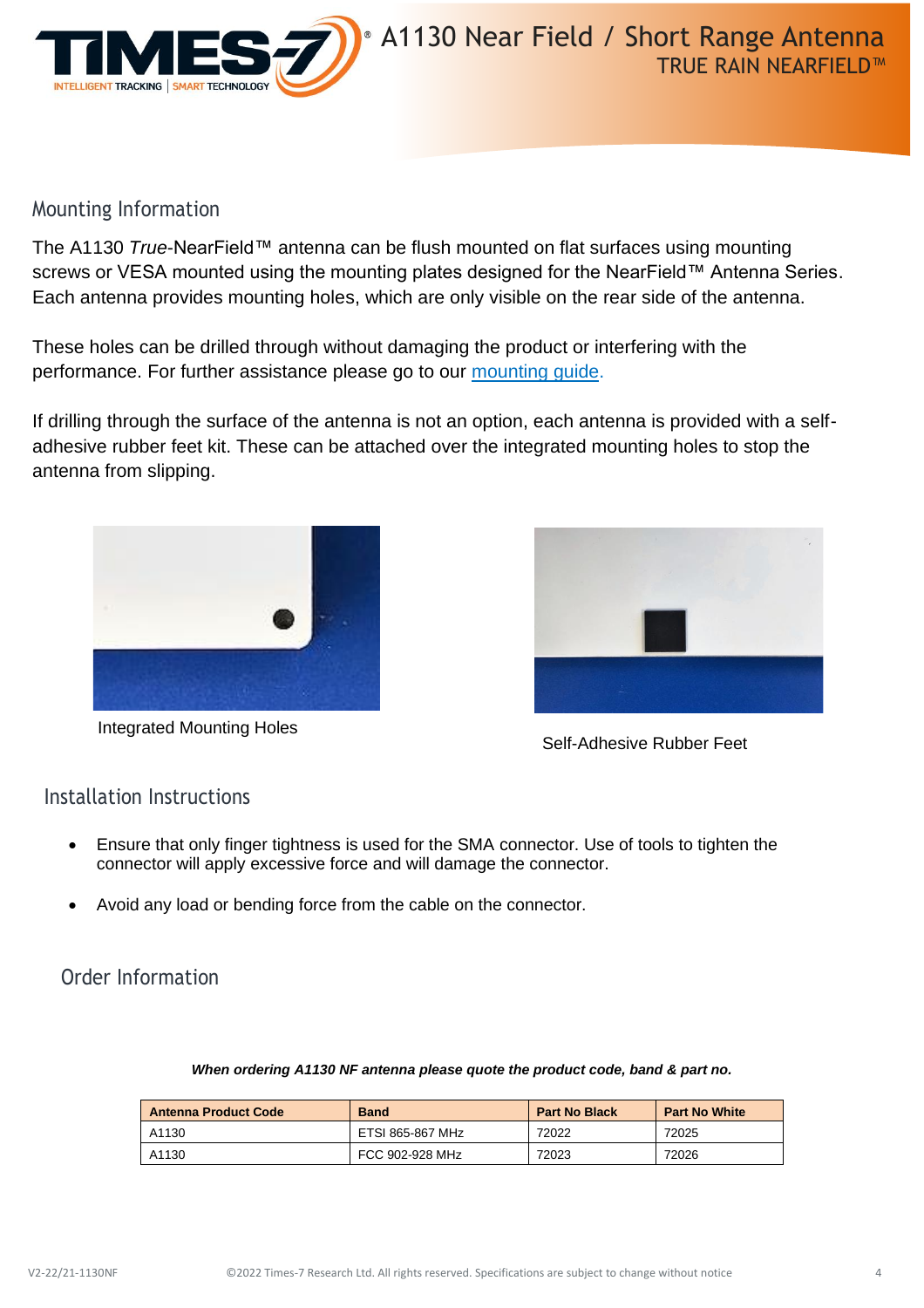

## Mounting Information

The A1130 *True*-NearField™ antenna can be flush mounted on flat surfaces using mounting screws or VESA mounted using the mounting plates designed for the NearField™ Antenna Series. Each antenna provides mounting holes, which are only visible on the rear side of the antenna.

These holes can be drilled through without damaging the product or interfering with the performance. For further assistance please go to our [mounting guide.](https://times-7.com/T7%20Mounting%20Instruction%20Guide%20Flat%20Radome%20and%20Pictureframe%20Antennas%20v2.pdf)

If drilling through the surface of the antenna is not an option, each antenna is provided with a selfadhesive rubber feet kit. These can be attached over the integrated mounting holes to stop the antenna from slipping.



Integrated Mounting Holes



Self-Adhesive Rubber Feet

## Installation Instructions

- Ensure that only finger tightness is used for the SMA connector. Use of tools to tighten the connector will apply excessive force and will damage the connector.
- Avoid any load or bending force from the cable on the connector.

Order Information

| <b>Antenna Product Code</b> | <b>Band</b>      | <b>Part No Black</b> | <b>Part No White</b> |
|-----------------------------|------------------|----------------------|----------------------|
| A1130                       | ETSI 865-867 MHz | 72022                | 72025                |
| A1130                       | FCC 902-928 MHz  | 72023                | 72026                |

### *When ordering A1130 NF antenna please quote the product code, band & part no.*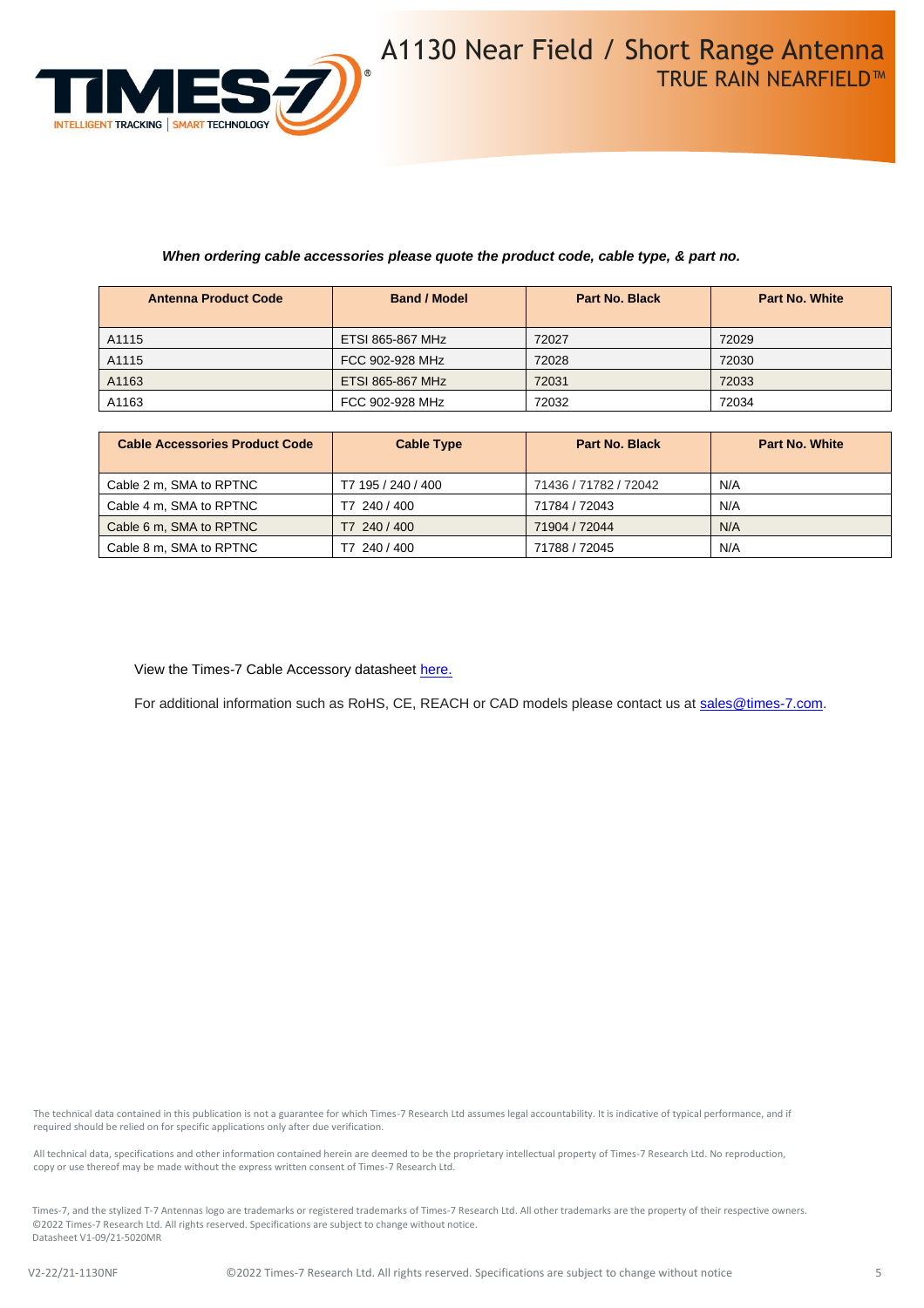

#### *When ordering cable accessories please quote the product code, cable type, & part no.*

| <b>Antenna Product Code</b> | <b>Band / Model</b>     | <b>Part No. Black</b> | <b>Part No. White</b> |
|-----------------------------|-------------------------|-----------------------|-----------------------|
| A1115                       | ETSI 865-867 MHz        | 72027                 | 72029                 |
| A1115                       | FCC 902-928 MHz         | 72028                 | 72030                 |
| A1163                       | <b>ETSI 865-867 MHz</b> | 72031                 | 72033                 |
| A1163                       | FCC 902-928 MHz         | 72032                 | 72034                 |

| <b>Cable Accessories Product Code</b> | <b>Cable Type</b>  | <b>Part No. Black</b> | <b>Part No. White</b> |
|---------------------------------------|--------------------|-----------------------|-----------------------|
| Cable 2 m, SMA to RPTNC               | T7 195 / 240 / 400 | 71436 / 71782 / 72042 | N/A                   |
| Cable 4 m, SMA to RPTNC               | T7 240 / 400       | 71784 / 72043         | N/A                   |
| Cable 6 m, SMA to RPTNC               | T7 240 / 400       | 71904 / 72044         | N/A                   |
| Cable 8 m, SMA to RPTNC               | 240 / 400          | 71788 / 72045         | N/A                   |

View the Times-7 Cable Accessory datashee[t here.](https://www.times-7.com/Cable%20Datasheet_v1.1_A4.pdf)

For additional information such as RoHS, CE, REACH or CAD models please contact us a[t sales@times-7.com.](mailto:sales@times-7.com)

The technical data contained in this publication is not a guarantee for which Times-7 Research Ltd assumes legal accountability. It is indicative of typical performance, and if required should be relied on for specific applications only after due verification.

All technical data, specifications and other information contained herein are deemed to be the proprietary intellectual property of Times-7 Research Ltd. No reproduction, copy or use thereof may be made without the express written consent of Times-7 Research Ltd.

Times-7, and the stylized T-7 Antennas logo are trademarks or registered trademarks of Times-7 Research Ltd. All other trademarks are the property of their respective owners. ©2022 Times-7 Research Ltd. All rights reserved. Specifications are subject to change without notice. Datasheet V1-09/21-5020MR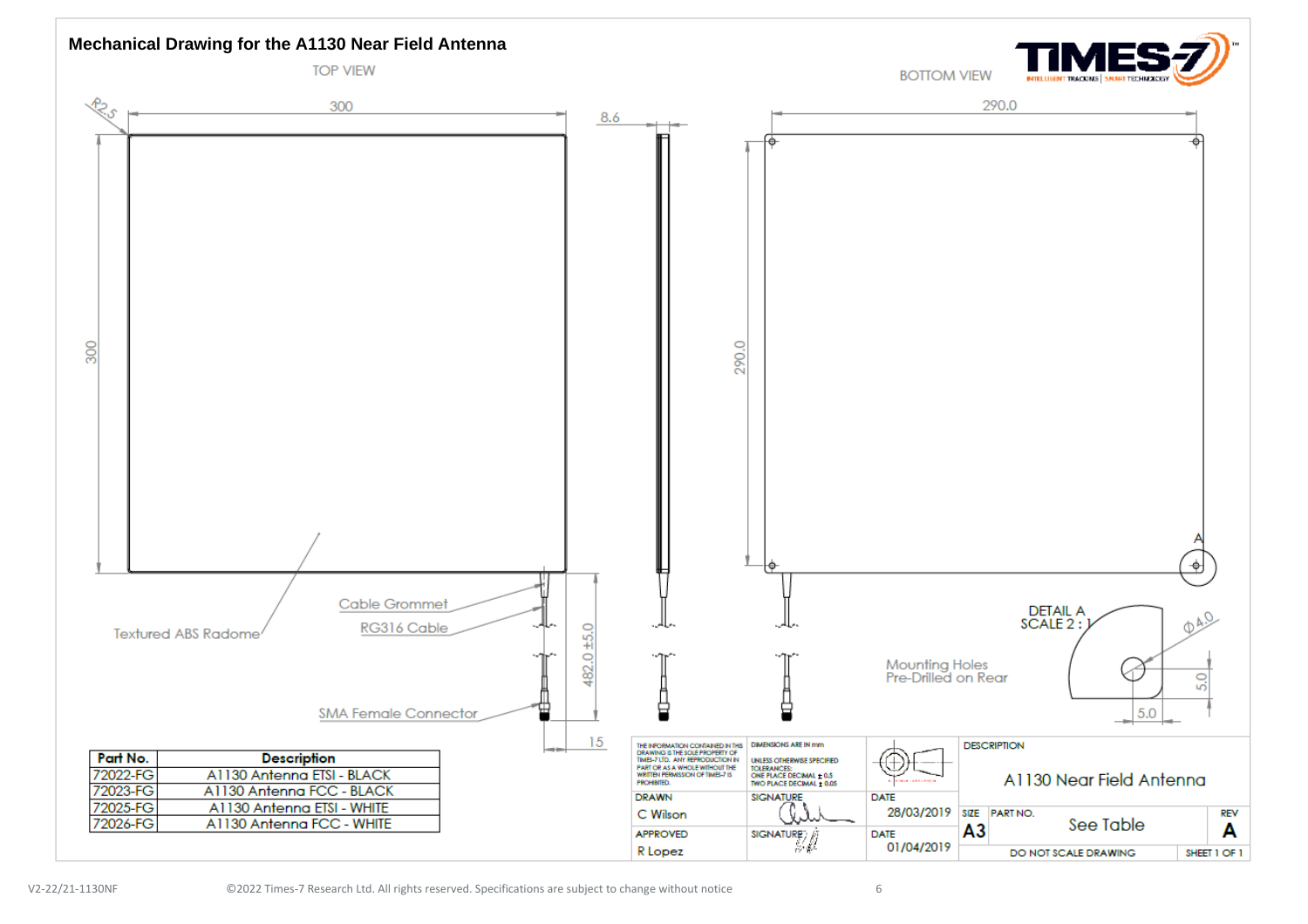